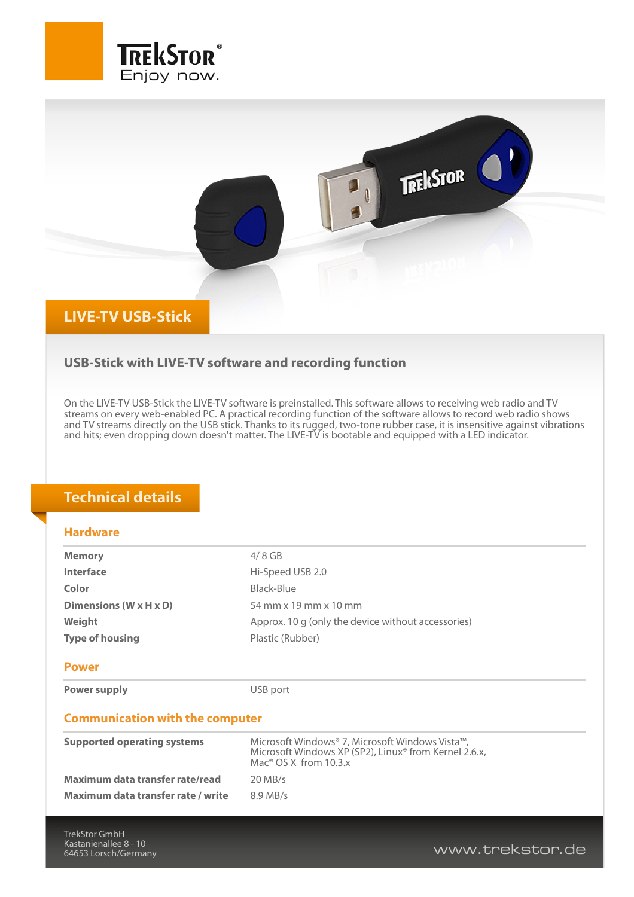



## **USB-Stick with LIVE-TV software and recording function**

On the LIVE-TV USB-Stick the LIVE-TV software is preinstalled. This software allows to receiving web radio and TV streams on every web-enabled PC. A practical recording function of the software allows to record web radio shows and TV streams directly on the USB stick. Thanks to its rugged, two-tone rubber case, it is insensitive against vibrations and hits; even dropping down doesn't matter. The LIVE-TV is bootable and equipped with a LED indicator.

## **Technical details**

## **Hardware**

| <b>Memory</b>                          | $4/8$ GB                                                                                                                                        |
|----------------------------------------|-------------------------------------------------------------------------------------------------------------------------------------------------|
| Interface                              | Hi-Speed USB 2.0                                                                                                                                |
| Color                                  | Black-Blue                                                                                                                                      |
| Dimensions (W x H x D)                 | 54 mm x 19 mm x 10 mm                                                                                                                           |
| Weight                                 | Approx. 10 g (only the device without accessories)                                                                                              |
| <b>Type of housing</b>                 | Plastic (Rubber)                                                                                                                                |
| <b>Power</b>                           |                                                                                                                                                 |
| Power supply                           | USB port                                                                                                                                        |
| <b>Communication with the computer</b> |                                                                                                                                                 |
| <b>Supported operating systems</b>     | Microsoft Windows® 7, Microsoft Windows Vista™,<br>Microsoft Windows XP (SP2), Linux® from Kernel 2.6.x,<br>Mac <sup>®</sup> OS X from $10.3.x$ |
| Maximum data transfer rate/read        | $20$ MB/s                                                                                                                                       |
| Maximum data transfer rate / write     | $8.9$ MB/s                                                                                                                                      |
|                                        |                                                                                                                                                 |